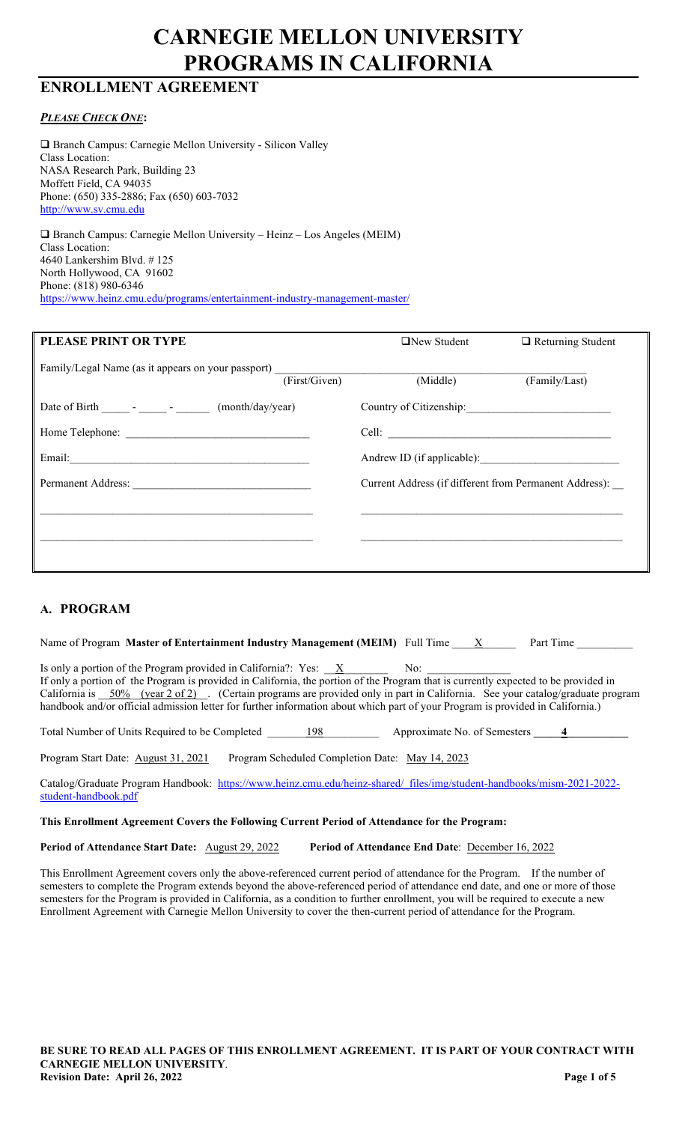# **CARNEGIE MELLON UNIVERSITY PROGRAMS IN CALIFORNIA**

# **ENROLLMENT AGREEMENT**

# *PLEASE CHECK ONE***:**

 Branch Campus: Carnegie Mellon University - Silicon Valley Class Location: NASA Research Park, Building 23 Moffett Field, CA 94035 Phone: (650) 335-2886; Fax (650) 603-7032 [http://www.sv.cmu.edu](http://www.sv.cmu.edu/)

 Branch Campus: Carnegie Mellon University – Heinz – Los Angeles (MEIM) Class Location: 4640 Lankershim Blvd. # 125 North Hollywood, CA 91602 Phone: (818) 980-6346 <https://www.heinz.cmu.edu/programs/entertainment-industry-management-master/>

| PLEASE PRINT OR TYPE                                                                                                                                                                                                           | $\Box$ New Student<br>$\Box$ Returning Student         |
|--------------------------------------------------------------------------------------------------------------------------------------------------------------------------------------------------------------------------------|--------------------------------------------------------|
| Family/Legal Name (as it appears on your passport) _____________________________<br>(First/Given)                                                                                                                              | (Middle)<br>(Family/Last)                              |
|                                                                                                                                                                                                                                | Country of Citizenship:                                |
| Home Telephone:                                                                                                                                                                                                                | Cell:                                                  |
| Email: No. 1996. The Commission of the Commission of the Commission of the Commission of the Commission of the Commission of the Commission of the Commission of the Commission of the Commission of the Commission of the Com | Andrew ID (if applicable):                             |
| Permanent Address:                                                                                                                                                                                                             | Current Address (if different from Permanent Address): |
|                                                                                                                                                                                                                                |                                                        |
|                                                                                                                                                                                                                                |                                                        |
|                                                                                                                                                                                                                                |                                                        |

# **A. PROGRAM**

| Name of Program Master of Entertainment Industry Management (MEIM) Full Time $X$<br>Part Time                                                                                                                                                                                                                                                                                                                                                                                     |
|-----------------------------------------------------------------------------------------------------------------------------------------------------------------------------------------------------------------------------------------------------------------------------------------------------------------------------------------------------------------------------------------------------------------------------------------------------------------------------------|
| Is only a portion of the Program provided in California?: Yes: X<br>No:<br>If only a portion of the Program is provided in California, the portion of the Program that is currently expected to be provided in<br>California is 50% (year 2 of 2). (Certain programs are provided only in part in California. See your catalog/graduate program<br>handbook and/or official admission letter for further information about which part of your Program is provided in California.) |
| Approximate No. of Semesters 4<br>Total Number of Units Required to be Completed<br>198                                                                                                                                                                                                                                                                                                                                                                                           |
| Program Scheduled Completion Date: May 14, 2023<br>Program Start Date: August 31, 2021                                                                                                                                                                                                                                                                                                                                                                                            |

Catalog/Graduate Program Handbook: [https://www.heinz.cmu.edu/heinz-shared/\\_files/img/student-handbooks/mism-2021-2022](https://www.heinz.cmu.edu/heinz-shared/_files/img/student-handbooks/mism-2021-2022-student-handbook.pdf) [student-handbook.pdf](https://www.heinz.cmu.edu/heinz-shared/_files/img/student-handbooks/mism-2021-2022-student-handbook.pdf)

#### **This Enrollment Agreement Covers the Following Current Period of Attendance for the Program:**

**Period of Attendance Start Date:**  $\Delta$ ugust 29, 2022 **Period of Attendance End Date**: December 16, 2022

This Enrollment Agreement covers only the above-referenced current period of attendance for the Program. If the number of semesters to complete the Program extends beyond the above-referenced period of attendance end date, and one or more of those semesters for the Program is provided in California, as a condition to further enrollment, you will be required to execute a new Enrollment Agreement with Carnegie Mellon University to cover the then-current period of attendance for the Program.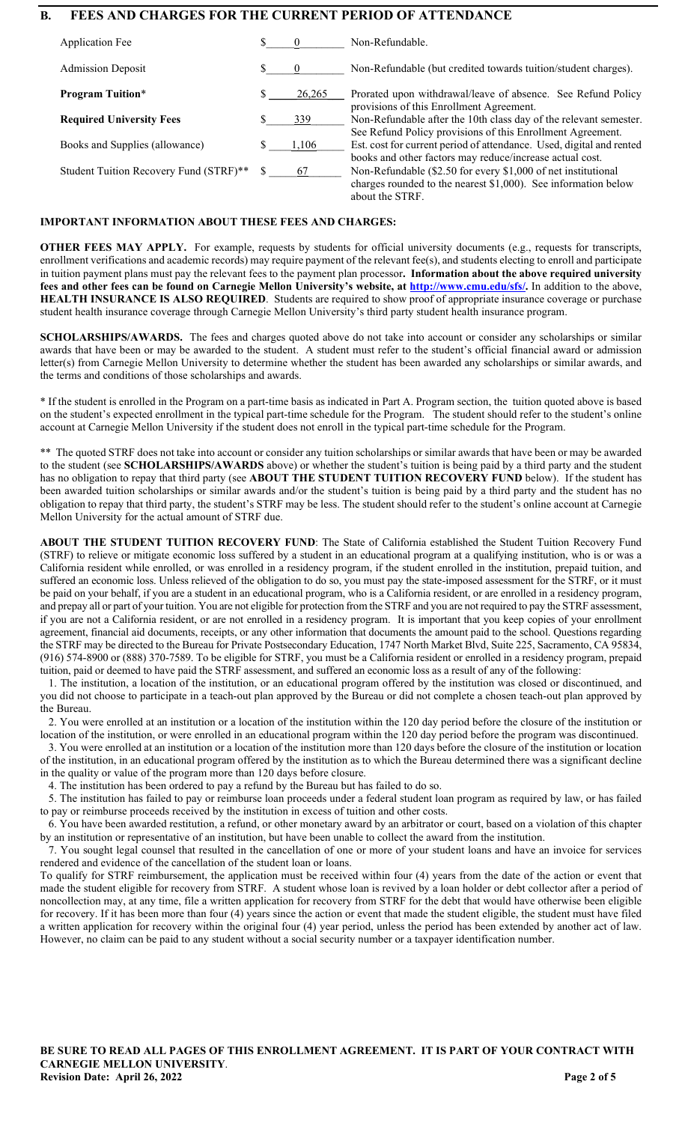# **B. FEES AND CHARGES FOR THE CURRENT PERIOD OF ATTENDANCE**

| Application Fee                        |          | Non-Refundable.                                                                                                                                      |
|----------------------------------------|----------|------------------------------------------------------------------------------------------------------------------------------------------------------|
| <b>Admission Deposit</b>               | $\theta$ | Non-Refundable (but credited towards tuition/student charges).                                                                                       |
| <b>Program Tuition*</b>                | 26,265   | Prorated upon withdrawal/leave of absence. See Refund Policy<br>provisions of this Enrollment Agreement.                                             |
| <b>Required University Fees</b>        | 339      | Non-Refundable after the 10th class day of the relevant semester.                                                                                    |
|                                        |          | See Refund Policy provisions of this Enrollment Agreement.                                                                                           |
| Books and Supplies (allowance)         | 1,106    | Est. cost for current period of attendance. Used, digital and rented<br>books and other factors may reduce/increase actual cost.                     |
| Student Tuition Recovery Fund (STRF)** | 67       | Non-Refundable (\$2.50 for every \$1,000 of net institutional<br>charges rounded to the nearest $$1,000$ ). See information below<br>about the STRF. |

#### **IMPORTANT INFORMATION ABOUT THESE FEES AND CHARGES:**

**OTHER FEES MAY APPLY.** For example, requests by students for official university documents (e.g., requests for transcripts, enrollment verifications and academic records) may require payment of the relevant fee(s), and students electing to enroll and participate in tuition payment plans must pay the relevant fees to the payment plan processor**. Information about the above required university fees and other fees can be found on Carnegie Mellon University's website, at [http://www.cmu.edu/sfs/.](http://www.cmu.edu/sfs/)** In addition to the above, **HEALTH INSURANCE IS ALSO REQUIRED**. Students are required to show proof of appropriate insurance coverage or purchase student health insurance coverage through Carnegie Mellon University's third party student health insurance program.

**SCHOLARSHIPS/AWARDS.** The fees and charges quoted above do not take into account or consider any scholarships or similar awards that have been or may be awarded to the student. A student must refer to the student's official financial award or admission letter(s) from Carnegie Mellon University to determine whether the student has been awarded any scholarships or similar awards, and the terms and conditions of those scholarships and awards.

\* If the student is enrolled in the Program on a part-time basis as indicated in Part A. Program section, the tuition quoted above is based on the student's expected enrollment in the typical part-time schedule for the Program. The student should refer to the student's online account at Carnegie Mellon University if the student does not enroll in the typical part-time schedule for the Program.

\*\* The quoted STRF does not take into account or consider any tuition scholarships or similar awards that have been or may be awarded to the student (see **SCHOLARSHIPS/AWARDS** above) or whether the student's tuition is being paid by a third party and the student has no obligation to repay that third party (see **ABOUT THE STUDENT TUITION RECOVERY FUND** below). If the student has been awarded tuition scholarships or similar awards and/or the student's tuition is being paid by a third party and the student has no obligation to repay that third party, the student's STRF may be less. The student should refer to the student's online account at Carnegie Mellon University for the actual amount of STRF due.

**ABOUT THE STUDENT TUITION RECOVERY FUND**: The State of California established the Student Tuition Recovery Fund (STRF) to relieve or mitigate economic loss suffered by a student in an educational program at a qualifying institution, who is or was a California resident while enrolled, or was enrolled in a residency program, if the student enrolled in the institution, prepaid tuition, and suffered an economic loss. Unless relieved of the obligation to do so, you must pay the state-imposed assessment for the STRF, or it must be paid on your behalf, if you are a student in an educational program, who is a California resident, or are enrolled in a residency program, and prepay all or part of your tuition. You are not eligible for protection from the STRF and you are not required to pay the STRF assessment, if you are not a California resident, or are not enrolled in a residency program. It is important that you keep copies of your enrollment agreement, financial aid documents, receipts, or any other information that documents the amount paid to the school. Questions regarding the STRF may be directed to the Bureau for Private Postsecondary Education, 1747 North Market Blvd, Suite 225, Sacramento, CA 95834, (916) 574-8900 or (888) 370-7589. To be eligible for STRF, you must be a California resident or enrolled in a residency program, prepaid tuition, paid or deemed to have paid the STRF assessment, and suffered an economic loss as a result of any of the following:

 1. The institution, a location of the institution, or an educational program offered by the institution was closed or discontinued, and you did not choose to participate in a teach-out plan approved by the Bureau or did not complete a chosen teach-out plan approved by the Bureau.

 2. You were enrolled at an institution or a location of the institution within the 120 day period before the closure of the institution or location of the institution, or were enrolled in an educational program within the 120 day period before the program was discontinued.

 3. You were enrolled at an institution or a location of the institution more than 120 days before the closure of the institution or location of the institution, in an educational program offered by the institution as to which the Bureau determined there was a significant decline in the quality or value of the program more than 120 days before closure.

4. The institution has been ordered to pay a refund by the Bureau but has failed to do so.

5. The institution has failed to pay or reimburse loan proceeds under a federal student loan program as required by law, or has failed to pay or reimburse proceeds received by the institution in excess of tuition and other costs.

 6. You have been awarded restitution, a refund, or other monetary award by an arbitrator or court, based on a violation of this chapter by an institution or representative of an institution, but have been unable to collect the award from the institution.

 7. You sought legal counsel that resulted in the cancellation of one or more of your student loans and have an invoice for services rendered and evidence of the cancellation of the student loan or loans.

To qualify for STRF reimbursement, the application must be received within four (4) years from the date of the action or event that made the student eligible for recovery from STRF. A student whose loan is revived by a loan holder or debt collector after a period of noncollection may, at any time, file a written application for recovery from STRF for the debt that would have otherwise been eligible for recovery. If it has been more than four (4) years since the action or event that made the student eligible, the student must have filed a written application for recovery within the original four (4) year period, unless the period has been extended by another act of law. However, no claim can be paid to any student without a social security number or a taxpayer identification number.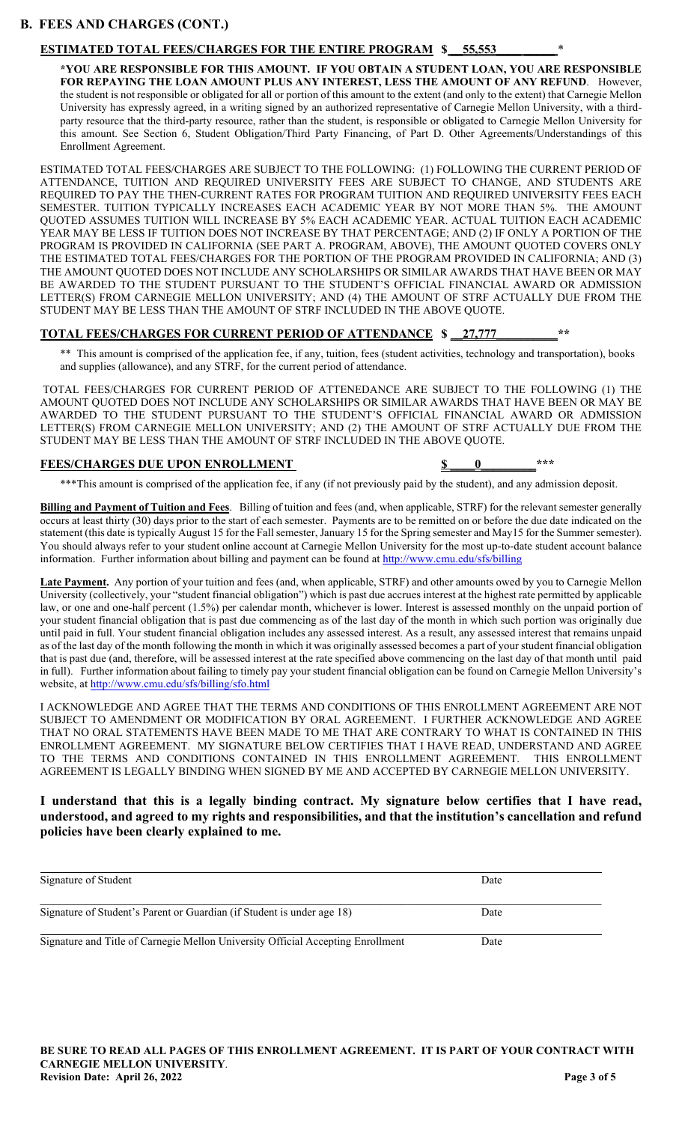#### **B. FEES AND CHARGES (CONT.)**

#### **ESTIMATED TOTAL FEES/CHARGES FOR THE ENTIRE PROGRAM \$ \_\_55,553\_\_\_\_ \_\_\_\_\_** \*

**\*YOU ARE RESPONSIBLE FOR THIS AMOUNT. IF YOU OBTAIN A STUDENT LOAN, YOU ARE RESPONSIBLE FOR REPAYING THE LOAN AMOUNT PLUS ANY INTEREST, LESS THE AMOUNT OF ANY REFUND**. However, the student is not responsible or obligated for all or portion of this amount to the extent (and only to the extent) that Carnegie Mellon University has expressly agreed, in a writing signed by an authorized representative of Carnegie Mellon University, with a thirdparty resource that the third-party resource, rather than the student, is responsible or obligated to Carnegie Mellon University for this amount. See Section 6, Student Obligation/Third Party Financing, of Part D. Other Agreements/Understandings of this Enrollment Agreement.

ESTIMATED TOTAL FEES/CHARGES ARE SUBJECT TO THE FOLLOWING: (1) FOLLOWING THE CURRENT PERIOD OF ATTENDANCE, TUITION AND REQUIRED UNIVERSITY FEES ARE SUBJECT TO CHANGE, AND STUDENTS ARE REQUIRED TO PAY THE THEN-CURRENT RATES FOR PROGRAM TUITION AND REQUIRED UNIVERSITY FEES EACH SEMESTER. TUITION TYPICALLY INCREASES EACH ACADEMIC YEAR BY NOT MORE THAN 5%. THE AMOUNT QUOTED ASSUMES TUITION WILL INCREASE BY 5% EACH ACADEMIC YEAR. ACTUAL TUITION EACH ACADEMIC YEAR MAY BE LESS IF TUITION DOES NOT INCREASE BY THAT PERCENTAGE; AND (2) IF ONLY A PORTION OF THE PROGRAM IS PROVIDED IN CALIFORNIA (SEE PART A. PROGRAM, ABOVE), THE AMOUNT QUOTED COVERS ONLY THE ESTIMATED TOTAL FEES/CHARGES FOR THE PORTION OF THE PROGRAM PROVIDED IN CALIFORNIA; AND (3) THE AMOUNT QUOTED DOES NOT INCLUDE ANY SCHOLARSHIPS OR SIMILAR AWARDS THAT HAVE BEEN OR MAY BE AWARDED TO THE STUDENT PURSUANT TO THE STUDENT'S OFFICIAL FINANCIAL AWARD OR ADMISSION LETTER(S) FROM CARNEGIE MELLON UNIVERSITY; AND (4) THE AMOUNT OF STRF ACTUALLY DUE FROM THE STUDENT MAY BE LESS THAN THE AMOUNT OF STRF INCLUDED IN THE ABOVE QUOTE.

#### **TOTAL FEES/CHARGES FOR CURRENT PERIOD OF ATTENDANCE \$ \_\_27,777\_\_\_\_\_\_\_\_\_\_\*\***

\*\* This amount is comprised of the application fee, if any, tuition, fees (student activities, technology and transportation), books and supplies (allowance), and any STRF, for the current period of attendance.

TOTAL FEES/CHARGES FOR CURRENT PERIOD OF ATTENEDANCE ARE SUBJECT TO THE FOLLOWING (1) THE AMOUNT QUOTED DOES NOT INCLUDE ANY SCHOLARSHIPS OR SIMILAR AWARDS THAT HAVE BEEN OR MAY BE AWARDED TO THE STUDENT PURSUANT TO THE STUDENT'S OFFICIAL FINANCIAL AWARD OR ADMISSION LETTER(S) FROM CARNEGIE MELLON UNIVERSITY; AND (2) THE AMOUNT OF STRF ACTUALLY DUE FROM THE STUDENT MAY BE LESS THAN THE AMOUNT OF STRF INCLUDED IN THE ABOVE QUOTE.

#### **FEES/CHARGES DUE UPON ENROLLMENT \$ \_\_\_\_0\_\_\_\_\_\_\_\_\_\*\*\***

\*\*\*This amount is comprised of the application fee, if any (if not previously paid by the student), and any admission deposit.

**Billing and Payment of Tuition and Fees**. Billing of tuition and fees (and, when applicable, STRF) for the relevant semester generally occurs at least thirty (30) days prior to the start of each semester. Payments are to be remitted on or before the due date indicated on the statement (this date is typically August 15 for the Fall semester, January 15 for the Spring semester and May15 for the Summer semester). You should always refer to your student online account at Carnegie Mellon University for the most up-to-date student account balance information. Further information about billing and payment can be found a[t http://www.cmu.edu/sfs/billing](http://www.cmu.edu/sfs/billing)

**Late Payment.** Any portion of your tuition and fees (and, when applicable, STRF) and other amounts owed by you to Carnegie Mellon University (collectively, your "student financial obligation") which is past due accrues interest at the highest rate permitted by applicable law, or one and one-half percent (1.5%) per calendar month, whichever is lower. Interest is assessed monthly on the unpaid portion of your student financial obligation that is past due commencing as of the last day of the month in which such portion was originally due until paid in full. Your student financial obligation includes any assessed interest. As a result, any assessed interest that remains unpaid as of the last day of the month following the month in which it was originally assessed becomes a part of your student financial obligation that is past due (and, therefore, will be assessed interest at the rate specified above commencing on the last day of that month until paid in full). Further information about failing to timely pay your student financial obligation can be found on Carnegie Mellon University's website, at<http://www.cmu.edu/sfs/billing/sfo.html>

I ACKNOWLEDGE AND AGREE THAT THE TERMS AND CONDITIONS OF THIS ENROLLMENT AGREEMENT ARE NOT SUBJECT TO AMENDMENT OR MODIFICATION BY ORAL AGREEMENT. I FURTHER ACKNOWLEDGE AND AGREE THAT NO ORAL STATEMENTS HAVE BEEN MADE TO ME THAT ARE CONTRARY TO WHAT IS CONTAINED IN THIS ENROLLMENT AGREEMENT. MY SIGNATURE BELOW CERTIFIES THAT I HAVE READ, UNDERSTAND AND AGREE TO THE TERMS AND CONDITIONS CONTAINED IN THIS ENROLLMENT AGREEMENT. THIS ENROLLMENT AGREEMENT IS LEGALLY BINDING WHEN SIGNED BY ME AND ACCEPTED BY CARNEGIE MELLON UNIVERSITY.

#### **I understand that this is a legally binding contract. My signature below certifies that I have read, understood, and agreed to my rights and responsibilities, and that the institution's cancellation and refund policies have been clearly explained to me.**

| Signature of Student                                                            | Date |  |
|---------------------------------------------------------------------------------|------|--|
| Signature of Student's Parent or Guardian (if Student is under age 18)          | Date |  |
| Signature and Title of Carnegie Mellon University Official Accepting Enrollment | Date |  |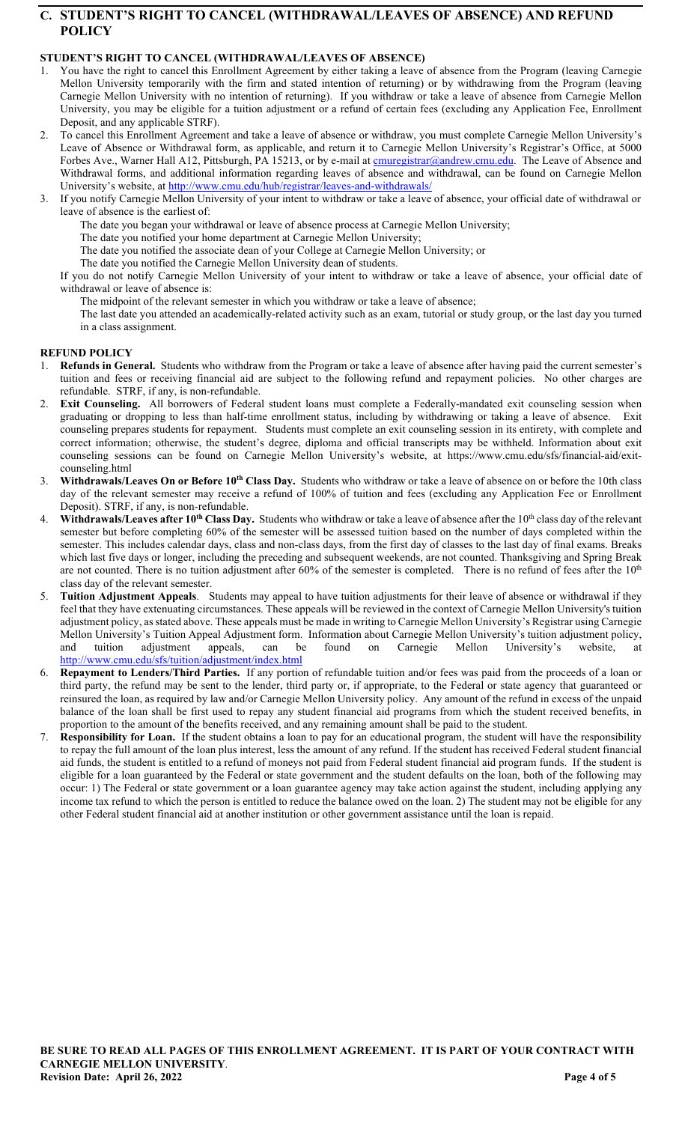# **C. STUDENT'S RIGHT TO CANCEL (WITHDRAWAL/LEAVES OF ABSENCE) AND REFUND POLICY**

# **STUDENT'S RIGHT TO CANCEL (WITHDRAWAL/LEAVES OF ABSENCE)**

- 1. You have the right to cancel this Enrollment Agreement by either taking a leave of absence from the Program (leaving Carnegie Mellon University temporarily with the firm and stated intention of returning) or by withdrawing from the Program (leaving Carnegie Mellon University with no intention of returning). If you withdraw or take a leave of absence from Carnegie Mellon University, you may be eligible for a tuition adjustment or a refund of certain fees (excluding any Application Fee, Enrollment Deposit, and any applicable STRF).
- 2. To cancel this Enrollment Agreement and take a leave of absence or withdraw, you must complete Carnegie Mellon University's Leave of Absence or Withdrawal form, as applicable, and return it to Carnegie Mellon University's Registrar's Office, at 5000 Forbes Ave., Warner Hall A12, Pittsburgh, PA 15213, or by e-mail at **cmuregistrar@andrew.cmu.edu**. The Leave of Absence and Withdrawal forms, and additional information regarding leaves of absence and withdrawal, can be found on Carnegie Mellon University's website, at<http://www.cmu.edu/hub/registrar/leaves-and-withdrawals/>
- If you notify Carnegie Mellon University of your intent to withdraw or take a leave of absence, your official date of withdrawal or leave of absence is the earliest of:
	- The date you began your withdrawal or leave of absence process at Carnegie Mellon University;
	- The date you notified your home department at Carnegie Mellon University;
	- The date you notified the associate dean of your College at Carnegie Mellon University; or
	- The date you notified the Carnegie Mellon University dean of students.
	- If you do not notify Carnegie Mellon University of your intent to withdraw or take a leave of absence, your official date of withdrawal or leave of absence is:
		- The midpoint of the relevant semester in which you withdraw or take a leave of absence;
		- The last date you attended an academically-related activity such as an exam, tutorial or study group, or the last day you turned in a class assignment.

#### **REFUND POLICY**

- Refunds in General. Students who withdraw from the Program or take a leave of absence after having paid the current semester's tuition and fees or receiving financial aid are subject to the following refund and repayment policies. No other charges are refundable. STRF, if any, is non-refundable.
- 2. **Exit Counseling.** All borrowers of Federal student loans must complete a Federally-mandated exit counseling session when graduating or dropping to less than half-time enrollment status, including by withdrawing or taking a leave of absence. Exit counseling prepares students for repayment. Students must complete an exit counseling session in its entirety, with complete and correct information; otherwise, the student's degree, diploma and official transcripts may be withheld. Information about exit counseling sessions can be found on Carnegie Mellon University's website, at https://www.cmu.edu/sfs/financial-aid/exitcounseling.html
- 3. **Withdrawals/Leaves On or Before 10th Class Day.** Students who withdraw or take a leave of absence on or before the 10th class day of the relevant semester may receive a refund of 100% of tuition and fees (excluding any Application Fee or Enrollment Deposit). STRF, if any, is non-refundable.
- Withdrawals/Leaves after 10<sup>th</sup> Class Day. Students who withdraw or take a leave of absence after the 10<sup>th</sup> class day of the relevant semester but before completing 60% of the semester will be assessed tuition based on the number of days completed within the semester. This includes calendar days, class and non-class days, from the first day of classes to the last day of final exams. Breaks which last five days or longer, including the preceding and subsequent weekends, are not counted. Thanksgiving and Spring Break are not counted. There is no tuition adjustment after 60% of the semester is completed. There is no refund of fees after the 10<sup>th</sup> class day of the relevant semester.
- 5. **Tuition Adjustment Appeals**. Students may appeal to have tuition adjustments for their leave of absence or withdrawal if they feel that they have extenuating circumstances. These appeals will be reviewed in the context of Carnegie Mellon University's tuition adjustment policy, as stated above. These appeals must be made in writing to Carnegie Mellon University's Registrar using Carnegie Mellon University's Tuition Appeal Adjustment form. Information about Carnegie Mellon University's tuition adjustment policy, and tuition adjustment appeals, can be found on Carnegie Mellon University's website, at <http://www.cmu.edu/sfs/tuition/adjustment/index.html>
- 6. **Repayment to Lenders/Third Parties.** If any portion of refundable tuition and/or fees was paid from the proceeds of a loan or third party, the refund may be sent to the lender, third party or, if appropriate, to the Federal or state agency that guaranteed or reinsured the loan, as required by law and/or Carnegie Mellon University policy. Any amount of the refund in excess of the unpaid balance of the loan shall be first used to repay any student financial aid programs from which the student received benefits, in proportion to the amount of the benefits received, and any remaining amount shall be paid to the student.
- Responsibility for Loan. If the student obtains a loan to pay for an educational program, the student will have the responsibility to repay the full amount of the loan plus interest, less the amount of any refund. If the student has received Federal student financial aid funds, the student is entitled to a refund of moneys not paid from Federal student financial aid program funds. If the student is eligible for a loan guaranteed by the Federal or state government and the student defaults on the loan, both of the following may occur: 1) The Federal or state government or a loan guarantee agency may take action against the student, including applying any income tax refund to which the person is entitled to reduce the balance owed on the loan. 2) The student may not be eligible for any other Federal student financial aid at another institution or other government assistance until the loan is repaid.